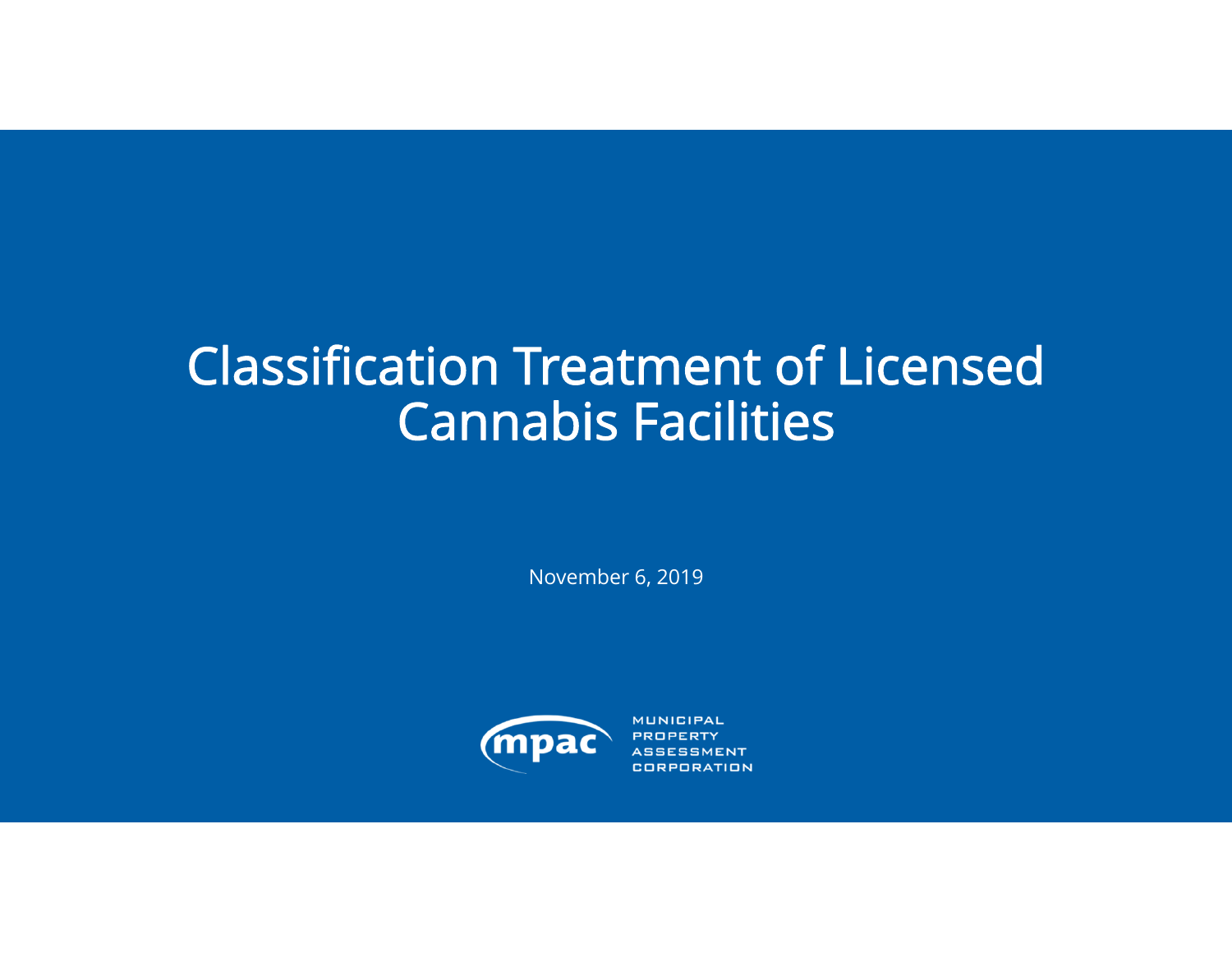# Classification Treatment of Licensed Cannabis Facilities

November 6, 2019



**MUNICIPAL CORPORATION**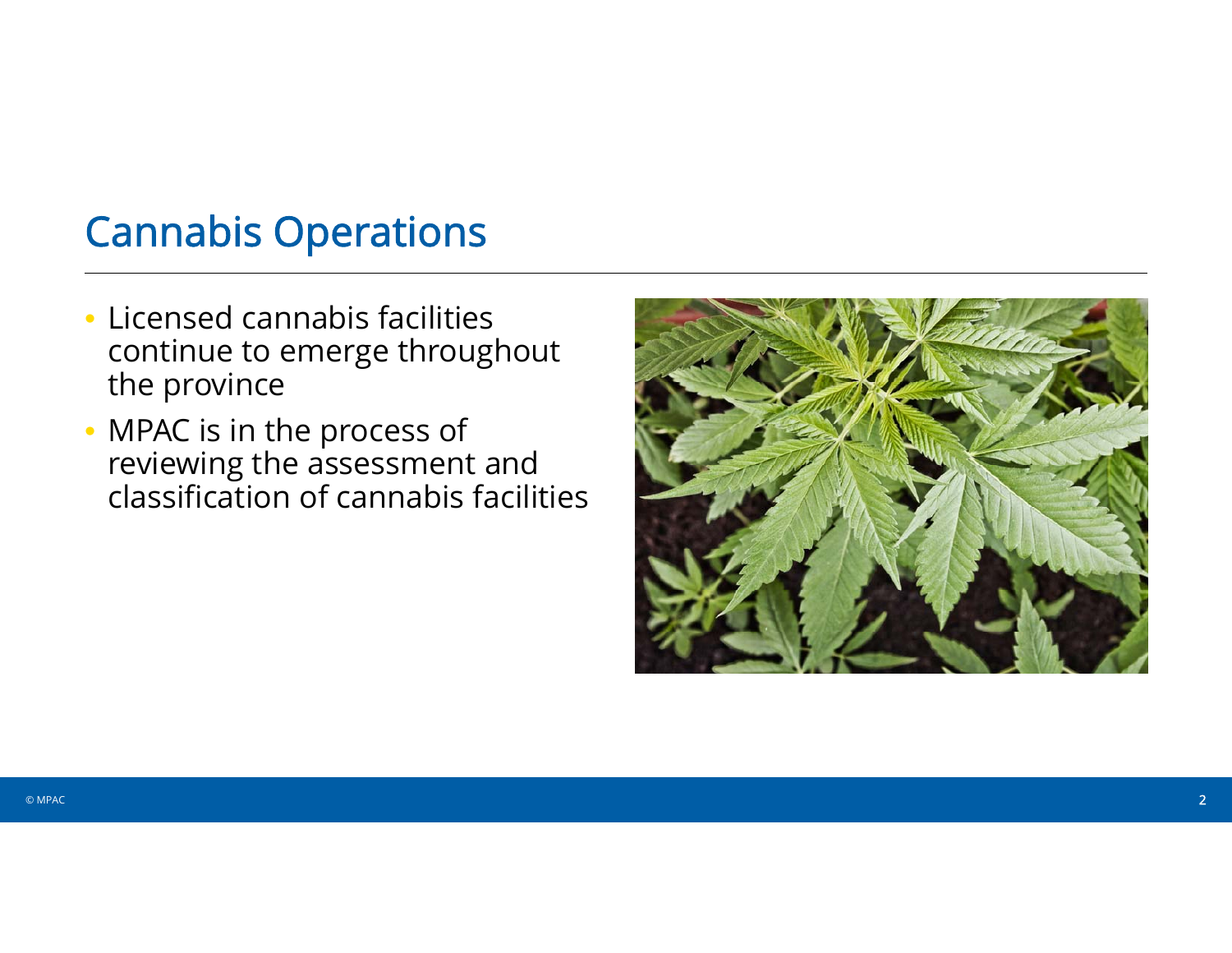# Cannabis Operations

- Licensed cannabis facilities continue to emerge throughout the province
- MPAC is in the process of reviewing the assessment and classification of cannabis facilities

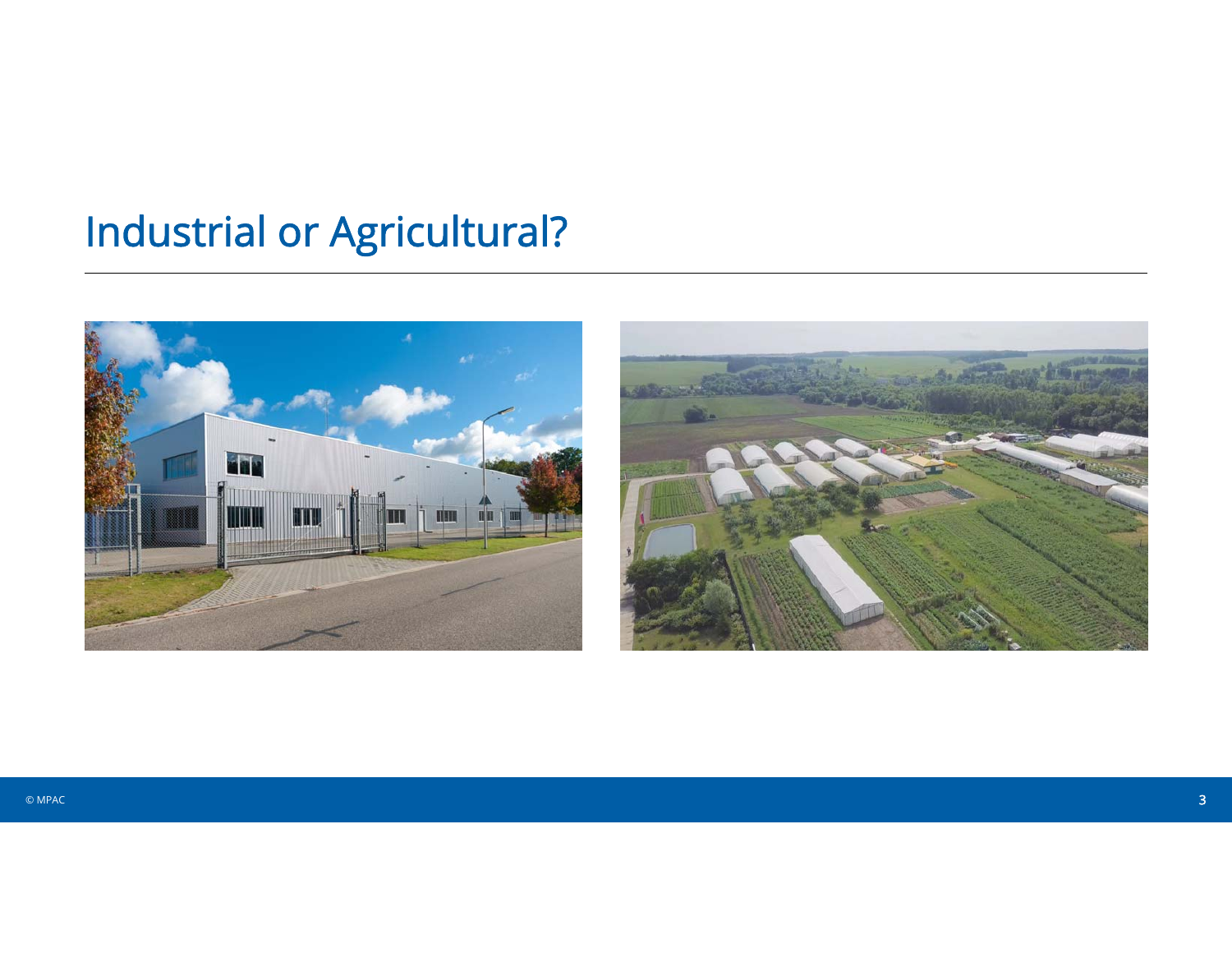# **Industrial or Agricultural?**



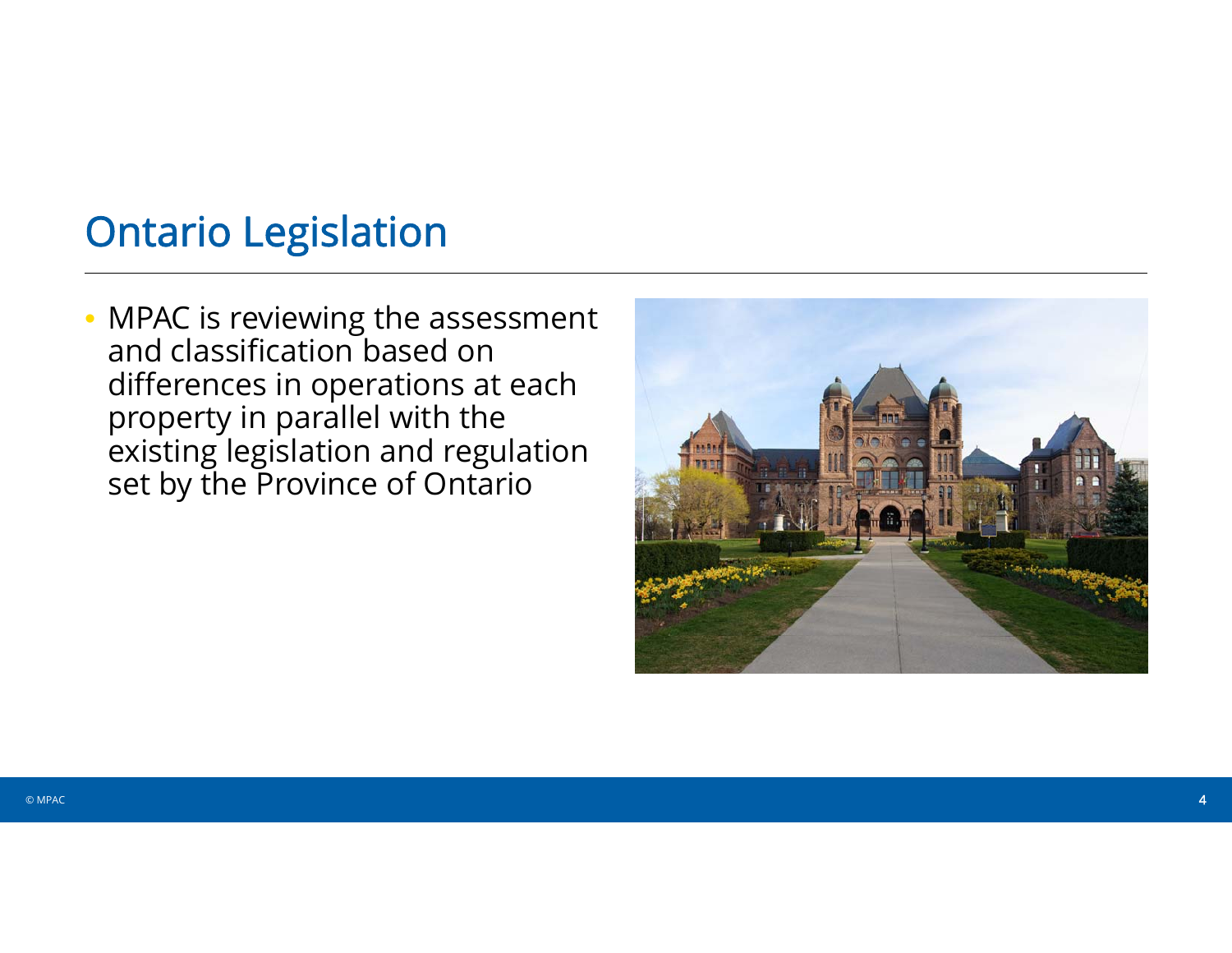## Ontario Legislation

• MPAC is reviewing the assessment and classification based on differences in operations at each property in parallel with the existing legislation and regulation set by the Province of Ontario

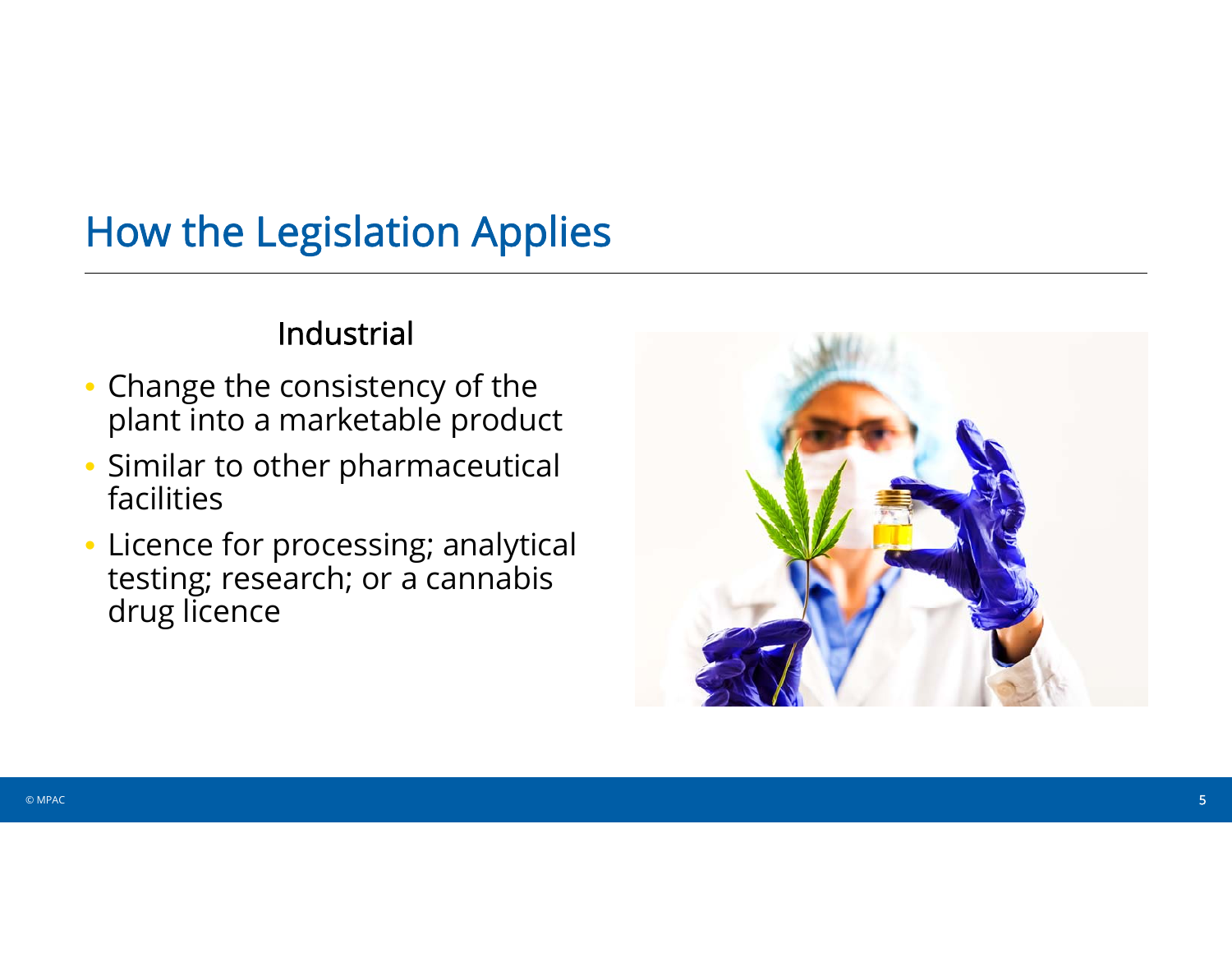# How the Legislation Applies

#### Industrial

- Change the consistency of the plant into a marketable product
- Similar to other pharmaceutical facilities
- Licence for processing; analytical testing; research; or a cannabis drug licence

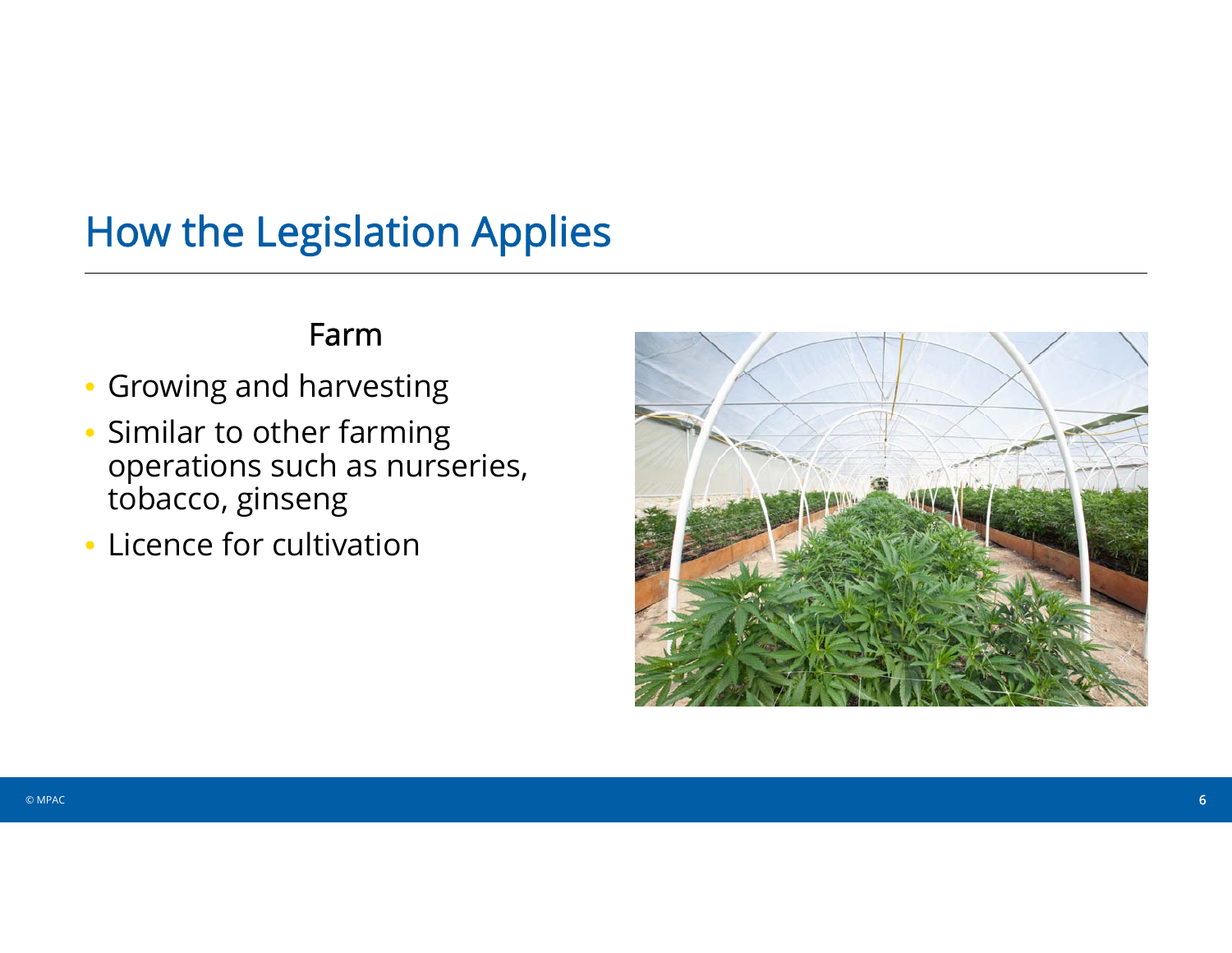# How the Legislation Applies

#### Farm

- Growing and harvesting
- Similar to other farming operations such as nurseries, tobacco, ginseng
- Licence for cultivation

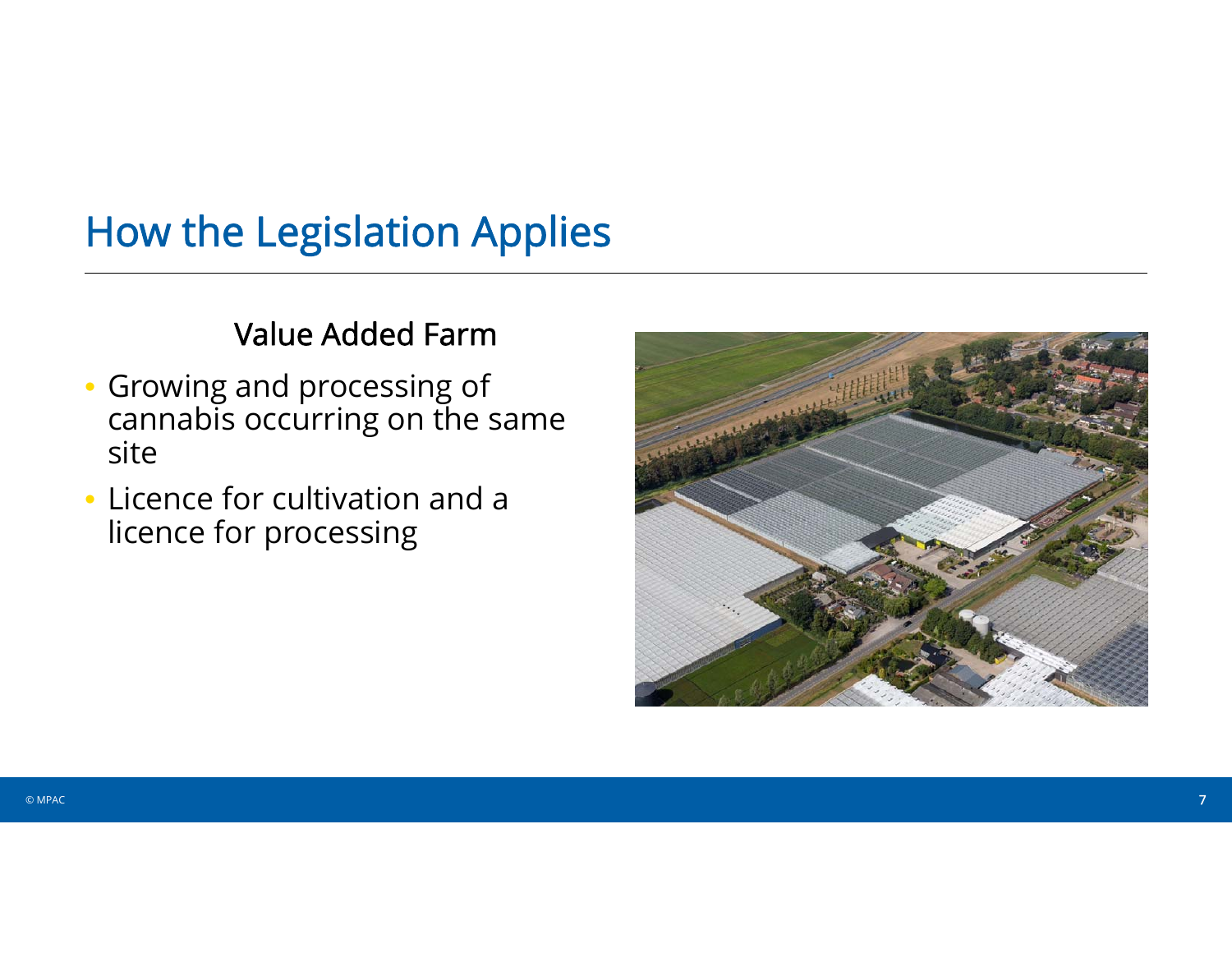# How the Legislation Applies

#### Value Added Farm

- Growing and processing of cannabis occurring on the same site
- Licence for cultivation and a licence for processing

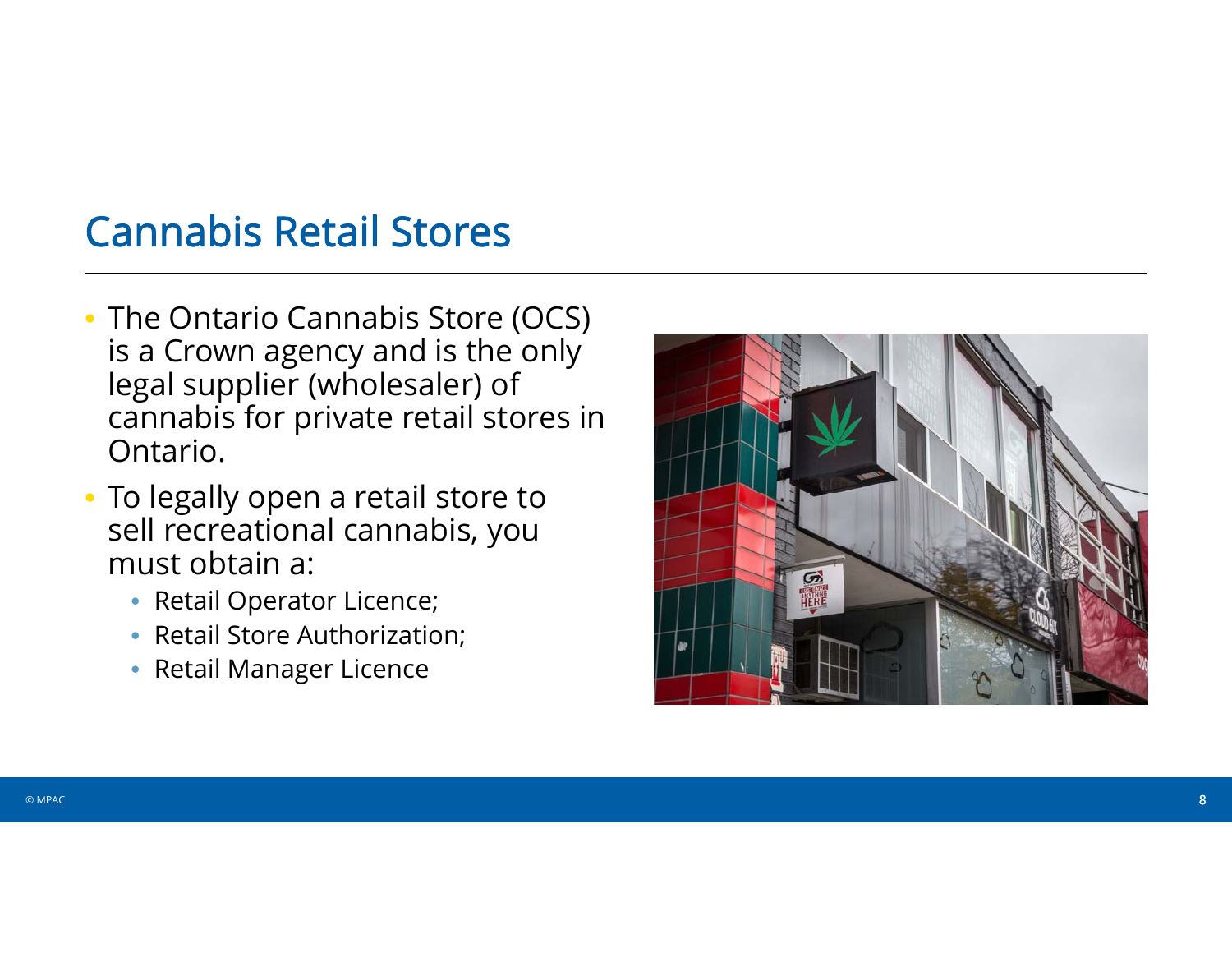## Cannabis Retail Stores

- The Ontario Cannabis Store (OCS) is a Crown agency and is the only legal supplier (wholesaler) of cannabis for private retail stores in Ontario.
- To legally open a retail store to sell recreational cannabis, you must obtain a:
	- Retail Operator Licence;
	- Retail Store Authorization;
	- Retail Manager Licence

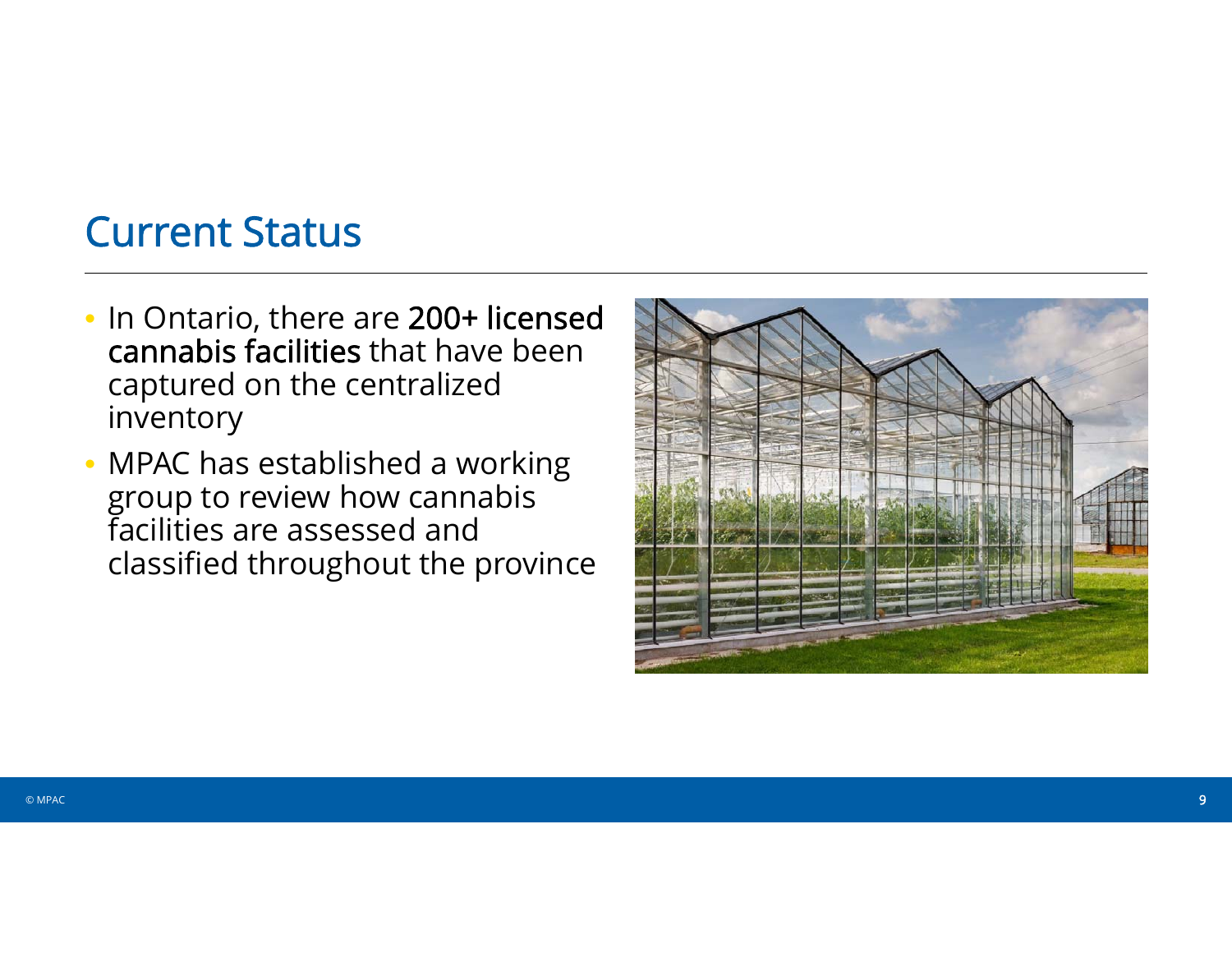# Current Status

- In Ontario, there are 200+ licensed cannabis facilities that have been captured on the centralized inventory
- MPAC has established a working group to review how cannabis facilities are assessed and classified throughout the province